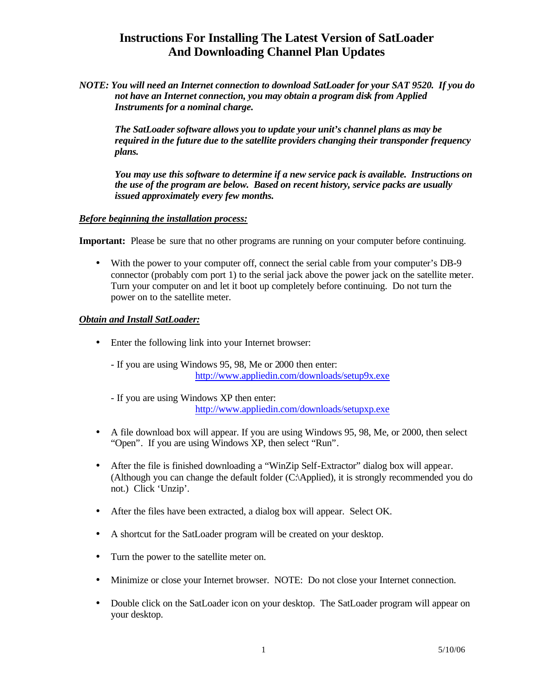# **Instructions For Installing The Latest Version of SatLoader And Downloading Channel Plan Updates**

*NOTE: You will need an Internet connection to download SatLoader for your SAT 9520. If you do not have an Internet connection, you may obtain a program disk from Applied Instruments for a nominal charge.*

*The SatLoader software allows you to update your unit's channel plans as may be required in the future due to the satellite providers changing their transponder frequency plans.*

*You may use this software to determine if a new service pack is available. Instructions on the use of the program are below. Based on recent history, service packs are usually issued approximately every few months.*

### *Before beginning the installation process:*

**Important:** Please be sure that no other programs are running on your computer before continuing.

• With the power to your computer off, connect the serial cable from your computer's DB-9 connector (probably com port 1) to the serial jack above the power jack on the satellite meter. Turn your computer on and let it boot up completely before continuing. Do not turn the power on to the satellite meter.

### *Obtain and Install SatLoader:*

- Enter the following link into your Internet browser:
	- If you are using Windows 95, 98, Me or 2000 then enter: http://www.appliedin.com/downloads/setup9x.exe
	- If you are using Windows XP then enter: http://www.appliedin.com/downloads/setupxp.exe
- A file download box will appear. If you are using Windows 95, 98, Me, or 2000, then select "Open". If you are using Windows XP, then select "Run".
- After the file is finished downloading a "WinZip Self-Extractor" dialog box will appear. (Although you can change the default folder (C:\Applied), it is strongly recommended you do not.) Click 'Unzip'.
- After the files have been extracted, a dialog box will appear. Select OK.
- A shortcut for the SatLoader program will be created on your desktop.
- Turn the power to the satellite meter on.
- Minimize or close your Internet browser. NOTE: Do not close your Internet connection.
- Double click on the SatLoader icon on your desktop. The SatLoader program will appear on your desktop.